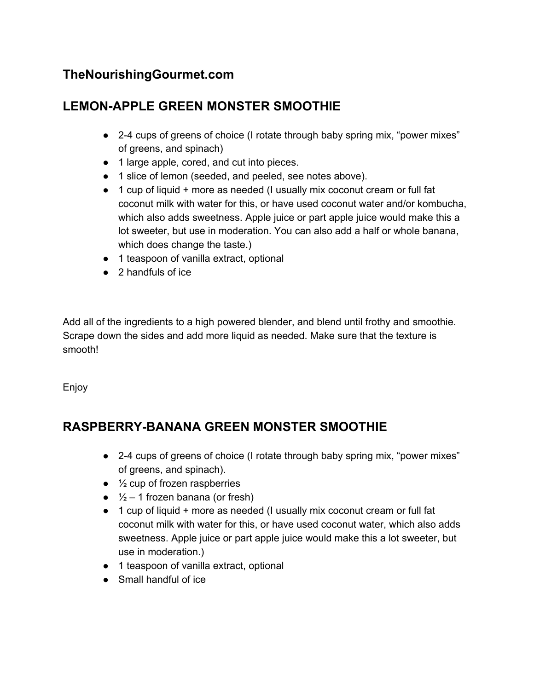## **TheNourishingGourmet.com**

## **LEMON-APPLE GREEN MONSTER SMOOTHIE**

- 2-4 cups of greens of choice (I rotate through baby spring mix, "power mixes" of greens, and spinach)
- 1 large apple, cored, and cut into pieces.
- 1 slice of lemon (seeded, and peeled, see notes above).
- 1 cup of liquid + more as needed (I usually mix coconut cream or full fat coconut milk with water for this, or have used coconut water and/or kombucha, which also adds sweetness. Apple juice or part apple juice would make this a lot sweeter, but use in moderation. You can also add a half or whole banana, which does change the taste.)
- 1 teaspoon of vanilla extract, optional
- 2 handfuls of ice

Add all of the ingredients to a high powered blender, and blend until frothy and smoothie. Scrape down the sides and add more liquid as needed. Make sure that the texture is smooth!

Enjoy

## **RASPBERRY-BANANA GREEN MONSTER SMOOTHIE**

- 2-4 cups of greens of choice (I rotate through baby spring mix, "power mixes" of greens, and spinach).
- $\bullet$   $\frac{1}{2}$  cup of frozen raspberries
- $\bullet$   $\frac{1}{2}$  1 frozen banana (or fresh)
- 1 cup of liquid + more as needed (I usually mix coconut cream or full fat coconut milk with water for this, or have used coconut water, which also adds sweetness. Apple juice or part apple juice would make this a lot sweeter, but use in moderation.)
- 1 teaspoon of vanilla extract, optional
- Small handful of ice